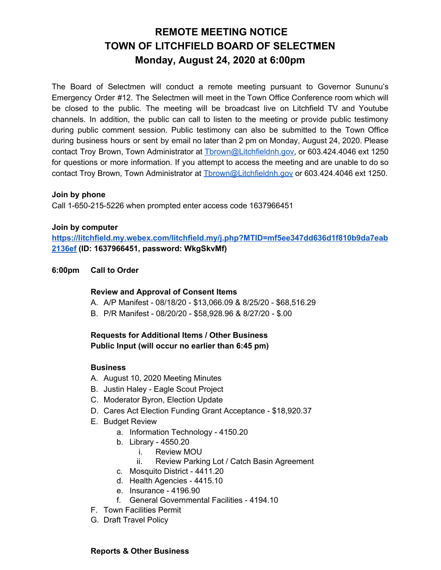# **REMOTE MEETING NOTICE TOWN OF LITCHFIELD BOARD OF SELECTMEN Monday, August 24, 2020 at 6:00pm**

The Board of Selectmen will conduct a remote meeting pursuant to Governor Sununu's Emergency Order #12. The Selectmen will meet in the Town Office Conference room which will be closed to the public. The meeting will be broadcast live on Litchfield TV and Youtube channels. In addition, the public can call to listen to the meeting or provide public testimony during public comment session. Public testimony can also be submitted to the Town Office during business hours or sent by email no later than 2 pm on Monday, August 24, 2020. Please contact Troy Brown, Town Administrator at [Tbrown@Litchfieldnh.gov,](mailto:Tbrown@Litchfieldnh.gov) or 603.424.4046 ext 1250 for questions or more information. If you attempt to access the meeting and are unable to do so contact Troy Brown, Town Administrator at [Tbrown@Litchfieldnh.gov](mailto:Tbrown@Litchfieldnh.gov) or 603.424.4046 ext 1250.

#### **Join by phone**

Call 1-650-215-5226 when prompted enter access code 1637966451

#### **Join by computer**

**[https://litchfield.my.webex.com/litchfield.my/j.php?MTID=mf5ee347dd636d1f810b9da7eab](https://litchfield.my.webex.com/litchfield.my/j.php?MTID=mf5ee347dd636d1f810b9da7eab2136ef) [2136ef](https://litchfield.my.webex.com/litchfield.my/j.php?MTID=mf5ee347dd636d1f810b9da7eab2136ef) (ID: 1637966451, password: WkgSkvMf)**

#### **6:00pm Call to Order**

#### **Review and Approval of Consent Items**

- A. A/P Manifest 08/18/20 \$13,066.09 & 8/25/20 \$68,516.29
- B. P/R Manifest 08/20/20 \$58,928.96 & 8/27/20 \$.00

## **Requests for Additional Items / Other Business Public Input (will occur no earlier than 6:45 pm)**

### **Business**

- A. August 10, 2020 Meeting Minutes
- B. Justin Haley Eagle Scout Project
- C. Moderator Byron, Election Update
- D. Cares Act Election Funding Grant Acceptance \$18,920.37
- E. Budget Review
	- a. Information Technology 4150.20
	- b. Library 4550.20
		- i. Review MOU
		- ii. Review Parking Lot / Catch Basin Agreement
	- c. Mosquito District 4411.20
	- d. Health Agencies 4415.10
	- e. Insurance 4196.90
	- f. General Governmental Facilities 4194.10
- F. Town Facilities Permit
- G. Draft Travel Policy

#### **Reports & Other Business**